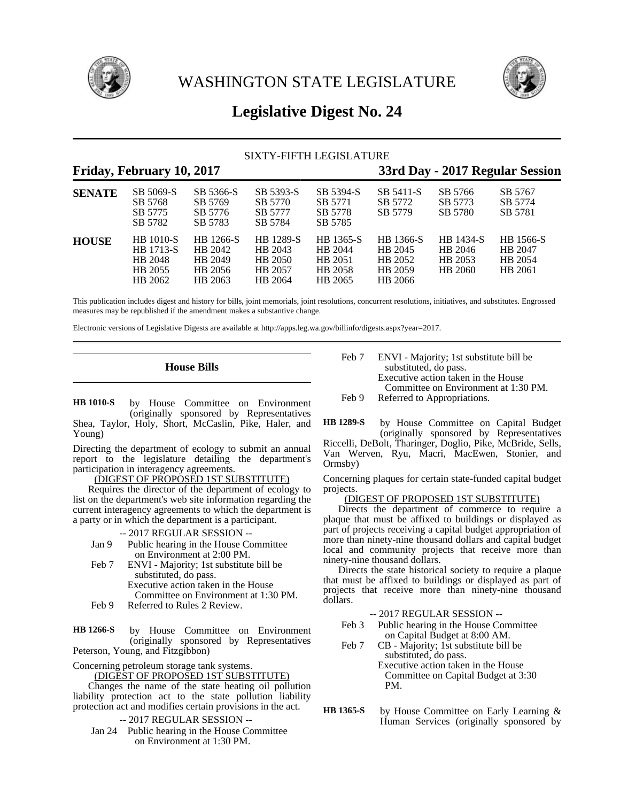

WASHINGTON STATE LEGISLATURE



# **Legislative Digest No. 24**

## SIXTY-FIFTH LEGISLATURE

# **Friday, February 10, 2017 33rd Day - 2017 Regular Session**

| <b>SENATE</b> | SB 5069-S<br>SB 5768<br>SB 5775<br>SB 5782                     | SB 5366-S<br>SB 5769<br>SB 5776<br>SB 5783            | SB 5393-S<br>SB 5770<br>SB 5777<br>SB 5784            | SB 5394-S<br>SB 5771<br>SB 5778<br>SB 5785            | SB 5411-S<br>SB 5772<br>SB 5779                       | SB 5766<br>SB 5773<br>SB 5780              | SB 5767<br>SB 5774<br>SB 5781              |
|---------------|----------------------------------------------------------------|-------------------------------------------------------|-------------------------------------------------------|-------------------------------------------------------|-------------------------------------------------------|--------------------------------------------|--------------------------------------------|
| <b>HOUSE</b>  | <b>HB</b> 1010-S<br>HB 1713-S<br>HB 2048<br>HB 2055<br>HB 2062 | HB 1266-S<br>HB 2042<br>HB 2049<br>HB 2056<br>HB 2063 | HB 1289-S<br>HB 2043<br>HB 2050<br>HB 2057<br>HB 2064 | HB 1365-S<br>HB 2044<br>HB 2051<br>HB 2058<br>HB 2065 | HB 1366-S<br>HB 2045<br>HB 2052<br>HB 2059<br>HB 2066 | HB 1434-S<br>HB 2046<br>HB 2053<br>HB 2060 | HB 1566-S<br>HB 2047<br>HB 2054<br>HB 2061 |

This publication includes digest and history for bills, joint memorials, joint resolutions, concurrent resolutions, initiatives, and substitutes. Engrossed measures may be republished if the amendment makes a substantive change.

Electronic versions of Legislative Digests are available at http://apps.leg.wa.gov/billinfo/digests.aspx?year=2017.

# **House Bills**

by House Committee on Environment (originally sponsored by Representatives Shea, Taylor, Holy, Short, McCaslin, Pike, Haler, and Young) **HB 1010-S**

Directing the department of ecology to submit an annual report to the legislature detailing the department's participation in interagency agreements.

### (DIGEST OF PROPOSED 1ST SUBSTITUTE)

Requires the director of the department of ecology to list on the department's web site information regarding the current interagency agreements to which the department is a party or in which the department is a participant.

-- 2017 REGULAR SESSION --

- Jan 9 Public hearing in the House Committee on Environment at 2:00 PM.
- Feb 7 ENVI Majority; 1st substitute bill be substituted, do pass. Executive action taken in the House Committee on Environment at 1:30 PM. Feb 9 Referred to Rules 2 Review.
- 

by House Committee on Environment (originally sponsored by Representatives Peterson, Young, and Fitzgibbon) **HB 1266-S**

Concerning petroleum storage tank systems. (DIGEST OF PROPOSED 1ST SUBSTITUTE)

Changes the name of the state heating oil pollution liability protection act to the state pollution liability protection act and modifies certain provisions in the act.

-- 2017 REGULAR SESSION --

Jan 24 Public hearing in the House Committee on Environment at 1:30 PM.

Feb 7 ENVI - Majority; 1st substitute bill be substituted, do pass. Executive action taken in the House Committee on Environment at 1:30 PM. Feb 9 Referred to Appropriations.

by House Committee on Capital Budget (originally sponsored by Representatives **HB 1289-S**

Riccelli, DeBolt, Tharinger, Doglio, Pike, McBride, Sells, Van Werven, Ryu, Macri, MacEwen, Stonier, and Ormsby)

Concerning plaques for certain state-funded capital budget projects.

### (DIGEST OF PROPOSED 1ST SUBSTITUTE)

Directs the department of commerce to require a plaque that must be affixed to buildings or displayed as part of projects receiving a capital budget appropriation of more than ninety-nine thousand dollars and capital budget local and community projects that receive more than ninety-nine thousand dollars.

Directs the state historical society to require a plaque that must be affixed to buildings or displayed as part of projects that receive more than ninety-nine thousand dollars.

- -- 2017 REGULAR SESSION --
- Feb 3 Public hearing in the House Committee on Capital Budget at 8:00 AM.
- Feb 7 CB Majority; 1st substitute bill be substituted, do pass. Executive action taken in the House Committee on Capital Budget at 3:30

PM.

by House Committee on Early Learning & Human Services (originally sponsored by **HB 1365-S**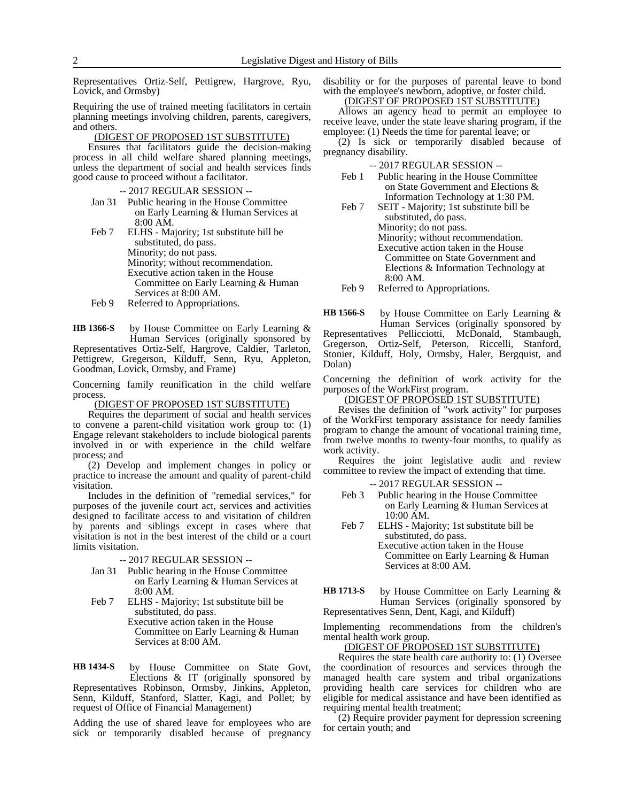Representatives Ortiz-Self, Pettigrew, Hargrove, Ryu, Lovick, and Ormsby)

Requiring the use of trained meeting facilitators in certain planning meetings involving children, parents, caregivers, and others.

### (DIGEST OF PROPOSED 1ST SUBSTITUTE)

Ensures that facilitators guide the decision-making process in all child welfare shared planning meetings, unless the department of social and health services finds good cause to proceed without a facilitator.

-- 2017 REGULAR SESSION --

- Jan 31 Public hearing in the House Committee on Early Learning & Human Services at 8:00 AM.
- Feb 7 ELHS Majority; 1st substitute bill be substituted, do pass. Minority; do not pass. Minority; without recommendation. Executive action taken in the House Committee on Early Learning & Human Services at 8:00 AM.
- Feb 9 Referred to Appropriations.

by House Committee on Early Learning & Human Services (originally sponsored by Representatives Ortiz-Self, Hargrove, Caldier, Tarleton, Pettigrew, Gregerson, Kilduff, Senn, Ryu, Appleton, **HB 1366-S**

Goodman, Lovick, Ormsby, and Frame)

Concerning family reunification in the child welfare process.

(DIGEST OF PROPOSED 1ST SUBSTITUTE)

Requires the department of social and health services to convene a parent-child visitation work group to: (1) Engage relevant stakeholders to include biological parents involved in or with experience in the child welfare process; and

(2) Develop and implement changes in policy or practice to increase the amount and quality of parent-child visitation.

Includes in the definition of "remedial services," for purposes of the juvenile court act, services and activities designed to facilitate access to and visitation of children by parents and siblings except in cases where that visitation is not in the best interest of the child or a court limits visitation.

-- 2017 REGULAR SESSION --

- Jan 31 Public hearing in the House Committee on Early Learning & Human Services at 8:00 AM.
- Feb 7 ELHS Majority; 1st substitute bill be substituted, do pass. Executive action taken in the House

Committee on Early Learning & Human Services at 8:00 AM.

by House Committee on State Govt, Elections & IT (originally sponsored by Representatives Robinson, Ormsby, Jinkins, Appleton, Senn, Kilduff, Stanford, Slatter, Kagi, and Pollet; by request of Office of Financial Management) **HB 1434-S**

Adding the use of shared leave for employees who are sick or temporarily disabled because of pregnancy

disability or for the purposes of parental leave to bond with the employee's newborn, adoptive, or foster child. (DIGEST OF PROPOSED 1ST SUBSTITUTE)

Allows an agency head to permit an employee to receive leave, under the state leave sharing program, if the employee: (1) Needs the time for parental leave; or

(2) Is sick or temporarily disabled because of pregnancy disability.

-- 2017 REGULAR SESSION --

- Feb 1 Public hearing in the House Committee on State Government and Elections & Information Technology at 1:30 PM.
- Feb 7 SEIT Majority; 1st substitute bill be substituted, do pass. Minority; do not pass. Minority; without recommendation. Executive action taken in the House Committee on State Government and Elections & Information Technology at 8:00 AM.

Feb 9 Referred to Appropriations.

by House Committee on Early Learning & Human Services (originally sponsored by Representatives Pellicciotti, McDonald, Stambaugh, Gregerson, Ortiz-Self, Peterson, Riccelli, Stanford, Stonier, Kilduff, Holy, Ormsby, Haler, Bergquist, and Dolan) **HB 1566-S**

Concerning the definition of work activity for the purposes of the WorkFirst program.

### (DIGEST OF PROPOSED 1ST SUBSTITUTE)

Revises the definition of "work activity" for purposes of the WorkFirst temporary assistance for needy families program to change the amount of vocational training time, from twelve months to twenty-four months, to qualify as work activity.

Requires the joint legislative audit and review committee to review the impact of extending that time.

-- 2017 REGULAR SESSION --

- Feb 3 Public hearing in the House Committee on Early Learning & Human Services at 10:00 AM.
- Feb 7 ELHS Majority; 1st substitute bill be substituted, do pass. Executive action taken in the House Committee on Early Learning & Human

by House Committee on Early Learning & Human Services (originally sponsored by **HB 1713-S**

Representatives Senn, Dent, Kagi, and Kilduff)

Services at 8:00 AM.

Implementing recommendations from the children's mental health work group.

### (DIGEST OF PROPOSED 1ST SUBSTITUTE)

Requires the state health care authority to: (1) Oversee the coordination of resources and services through the managed health care system and tribal organizations providing health care services for children who are eligible for medical assistance and have been identified as requiring mental health treatment;

(2) Require provider payment for depression screening for certain youth; and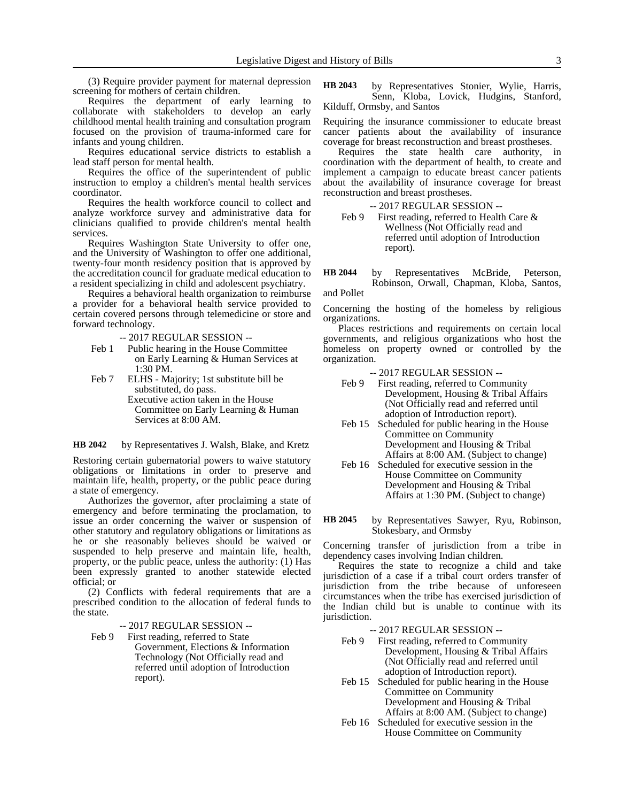(3) Require provider payment for maternal depression screening for mothers of certain children.

Requires the department of early learning to collaborate with stakeholders to develop an early childhood mental health training and consultation program focused on the provision of trauma-informed care for infants and young children.

Requires educational service districts to establish a lead staff person for mental health.

Requires the office of the superintendent of public instruction to employ a children's mental health services coordinator.

Requires the health workforce council to collect and analyze workforce survey and administrative data for clinicians qualified to provide children's mental health services.

Requires Washington State University to offer one, and the University of Washington to offer one additional, twenty-four month residency position that is approved by the accreditation council for graduate medical education to a resident specializing in child and adolescent psychiatry.

Requires a behavioral health organization to reimburse a provider for a behavioral health service provided to certain covered persons through telemedicine or store and forward technology.

-- 2017 REGULAR SESSION --

- Feb 1 Public hearing in the House Committee on Early Learning & Human Services at 1:30 PM.
- Feb 7 ELHS Majority; 1st substitute bill be substituted, do pass.
	- Executive action taken in the House Committee on Early Learning & Human Services at 8:00 AM.

by Representatives J. Walsh, Blake, and Kretz **HB 2042**

Restoring certain gubernatorial powers to waive statutory obligations or limitations in order to preserve and maintain life, health, property, or the public peace during a state of emergency.

Authorizes the governor, after proclaiming a state of emergency and before terminating the proclamation, to issue an order concerning the waiver or suspension of other statutory and regulatory obligations or limitations as he or she reasonably believes should be waived or suspended to help preserve and maintain life, health, property, or the public peace, unless the authority: (1) Has been expressly granted to another statewide elected official; or

(2) Conflicts with federal requirements that are a prescribed condition to the allocation of federal funds to the state.

-- 2017 REGULAR SESSION --

Feb 9 First reading, referred to State Government, Elections & Information Technology (Not Officially read and referred until adoption of Introduction report).

by Representatives Stonier, Wylie, Harris, Senn, Kloba, Lovick, Hudgins, Stanford, Kilduff, Ormsby, and Santos **HB 2043**

Requiring the insurance commissioner to educate breast cancer patients about the availability of insurance coverage for breast reconstruction and breast prostheses.

Requires the state health care authority, in coordination with the department of health, to create and implement a campaign to educate breast cancer patients about the availability of insurance coverage for breast reconstruction and breast prostheses.

-- 2017 REGULAR SESSION --

Feb 9 First reading, referred to Health Care & Wellness (Not Officially read and referred until adoption of Introduction report).

by Representatives McBride, Peterson, Robinson, Orwall, Chapman, Kloba, Santos, **HB 2044**

and Pollet

Concerning the hosting of the homeless by religious organizations.

Places restrictions and requirements on certain local governments, and religious organizations who host the homeless on property owned or controlled by the organization.

-- 2017 REGULAR SESSION --

- Feb 9 First reading, referred to Community Development, Housing & Tribal Affairs (Not Officially read and referred until adoption of Introduction report).
- Feb 15 Scheduled for public hearing in the House Committee on Community Development and Housing & Tribal Affairs at 8:00 AM. (Subject to change)
- Feb 16 Scheduled for executive session in the House Committee on Community Development and Housing & Tribal Affairs at 1:30 PM. (Subject to change)
- by Representatives Sawyer, Ryu, Robinson, Stokesbary, and Ormsby **HB 2045**

Concerning transfer of jurisdiction from a tribe in dependency cases involving Indian children.

Requires the state to recognize a child and take jurisdiction of a case if a tribal court orders transfer of jurisdiction from the tribe because of unforeseen circumstances when the tribe has exercised jurisdiction of the Indian child but is unable to continue with its jurisdiction.

-- 2017 REGULAR SESSION --

- Feb 9 First reading, referred to Community Development, Housing & Tribal Affairs (Not Officially read and referred until adoption of Introduction report).
- Feb 15 Scheduled for public hearing in the House Committee on Community Development and Housing & Tribal Affairs at 8:00 AM. (Subject to change)
- Feb 16 Scheduled for executive session in the House Committee on Community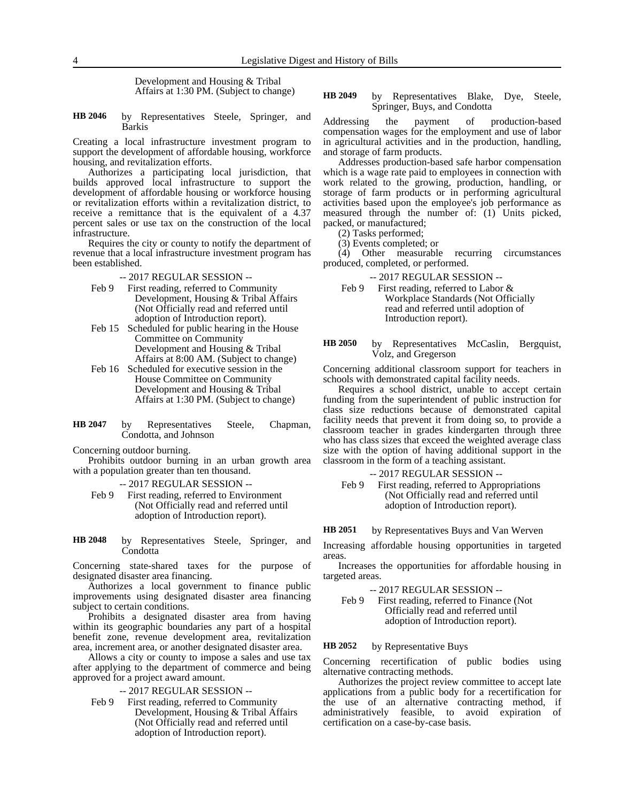Development and Housing & Tribal Affairs at 1:30 PM. (Subject to change)

by Representatives Steele, Springer, and Barkis **HB 2046**

Creating a local infrastructure investment program to support the development of affordable housing, workforce housing, and revitalization efforts.

Authorizes a participating local jurisdiction, that builds approved local infrastructure to support the development of affordable housing or workforce housing or revitalization efforts within a revitalization district, to receive a remittance that is the equivalent of a 4.37 percent sales or use tax on the construction of the local infrastructure.

Requires the city or county to notify the department of revenue that a local infrastructure investment program has been established.

-- 2017 REGULAR SESSION --

- Feb 9 First reading, referred to Community Development, Housing & Tribal Affairs (Not Officially read and referred until adoption of Introduction report).
- Feb 15 Scheduled for public hearing in the House Committee on Community Development and Housing & Tribal Affairs at 8:00 AM. (Subject to change)
- Feb 16 Scheduled for executive session in the House Committee on Community Development and Housing & Tribal Affairs at 1:30 PM. (Subject to change)
- by Representatives Steele, Chapman, Condotta, and Johnson **HB 2047**

Concerning outdoor burning.

Prohibits outdoor burning in an urban growth area with a population greater than ten thousand.

-- 2017 REGULAR SESSION --

Feb 9 First reading, referred to Environment (Not Officially read and referred until adoption of Introduction report).

by Representatives Steele, Springer, and **Condotta HB 2048**

Concerning state-shared taxes for the purpose of designated disaster area financing.

Authorizes a local government to finance public improvements using designated disaster area financing subject to certain conditions.

Prohibits a designated disaster area from having within its geographic boundaries any part of a hospital benefit zone, revenue development area, revitalization area, increment area, or another designated disaster area.

Allows a city or county to impose a sales and use tax after applying to the department of commerce and being approved for a project award amount.

-- 2017 REGULAR SESSION --

Feb 9 First reading, referred to Community Development, Housing & Tribal Affairs (Not Officially read and referred until adoption of Introduction report).

### by Representatives Blake, Dye, Steele, Springer, Buys, and Condotta **HB 2049**

Addressing the payment of production-based compensation wages for the employment and use of labor in agricultural activities and in the production, handling, and storage of farm products.

Addresses production-based safe harbor compensation which is a wage rate paid to employees in connection with work related to the growing, production, handling, or storage of farm products or in performing agricultural activities based upon the employee's job performance as measured through the number of: (1) Units picked, packed, or manufactured;

(2) Tasks performed;

(3) Events completed; or

(4) Other measurable recurring circumstances produced, completed, or performed.

- -- 2017 REGULAR SESSION --
- Feb 9 First reading, referred to Labor & Workplace Standards (Not Officially read and referred until adoption of Introduction report).

by Representatives McCaslin, Bergquist, Volz, and Gregerson **HB 2050**

Concerning additional classroom support for teachers in schools with demonstrated capital facility needs.

Requires a school district, unable to accept certain funding from the superintendent of public instruction for class size reductions because of demonstrated capital facility needs that prevent it from doing so, to provide a classroom teacher in grades kindergarten through three who has class sizes that exceed the weighted average class size with the option of having additional support in the classroom in the form of a teaching assistant.

-- 2017 REGULAR SESSION --

Feb 9 First reading, referred to Appropriations (Not Officially read and referred until adoption of Introduction report).

#### by Representatives Buys and Van Werven **HB 2051**

Increasing affordable housing opportunities in targeted areas.

Increases the opportunities for affordable housing in targeted areas.

### -- 2017 REGULAR SESSION --

Feb 9 First reading, referred to Finance (Not Officially read and referred until adoption of Introduction report).

#### by Representative Buys **HB 2052**

Concerning recertification of public bodies using alternative contracting methods.

Authorizes the project review committee to accept late applications from a public body for a recertification for the use of an alternative contracting method, if administratively feasible, to avoid expiration of certification on a case-by-case basis.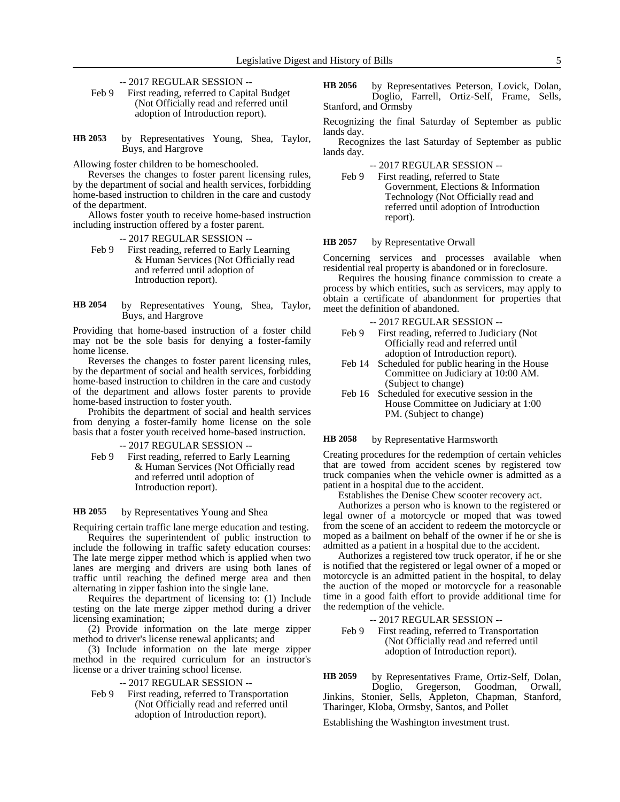- -- 2017 REGULAR SESSION --
- Feb 9 First reading, referred to Capital Budget (Not Officially read and referred until adoption of Introduction report).
- by Representatives Young, Shea, Taylor, Buys, and Hargrove **HB 2053**

Allowing foster children to be homeschooled.

Reverses the changes to foster parent licensing rules, by the department of social and health services, forbidding home-based instruction to children in the care and custody of the department.

Allows foster youth to receive home-based instruction including instruction offered by a foster parent.

-- 2017 REGULAR SESSION --

- Feb 9 First reading, referred to Early Learning & Human Services (Not Officially read and referred until adoption of Introduction report).
- by Representatives Young, Shea, Taylor, Buys, and Hargrove **HB 2054**

Providing that home-based instruction of a foster child may not be the sole basis for denying a foster-family home license.

Reverses the changes to foster parent licensing rules, by the department of social and health services, forbidding home-based instruction to children in the care and custody of the department and allows foster parents to provide home-based instruction to foster youth.

Prohibits the department of social and health services from denying a foster-family home license on the sole basis that a foster youth received home-based instruction.

- -- 2017 REGULAR SESSION --
- Feb 9 First reading, referred to Early Learning & Human Services (Not Officially read and referred until adoption of Introduction report).

#### by Representatives Young and Shea **HB 2055**

Requiring certain traffic lane merge education and testing.

Requires the superintendent of public instruction to include the following in traffic safety education courses: The late merge zipper method which is applied when two lanes are merging and drivers are using both lanes of traffic until reaching the defined merge area and then alternating in zipper fashion into the single lane.

Requires the department of licensing to: (1) Include testing on the late merge zipper method during a driver licensing examination;

(2) Provide information on the late merge zipper method to driver's license renewal applicants; and

(3) Include information on the late merge zipper method in the required curriculum for an instructor's license or a driver training school license.

- -- 2017 REGULAR SESSION --
- Feb 9 First reading, referred to Transportation (Not Officially read and referred until adoption of Introduction report).

by Representatives Peterson, Lovick, Dolan, Doglio, Farrell, Ortiz-Self, Frame, Sells, Stanford, and Ormsby **HB 2056**

Recognizing the final Saturday of September as public lands day.

Recognizes the last Saturday of September as public lands day.

-- 2017 REGULAR SESSION --

Feb 9 First reading, referred to State Government, Elections & Information Technology (Not Officially read and referred until adoption of Introduction report).

#### by Representative Orwall **HB 2057**

Concerning services and processes available when residential real property is abandoned or in foreclosure.

Requires the housing finance commission to create a process by which entities, such as servicers, may apply to obtain a certificate of abandonment for properties that meet the definition of abandoned.

- -- 2017 REGULAR SESSION --
- Feb 9 First reading, referred to Judiciary (Not Officially read and referred until adoption of Introduction report).
- Feb 14 Scheduled for public hearing in the House Committee on Judiciary at 10:00 AM. (Subject to change)
- Feb 16 Scheduled for executive session in the House Committee on Judiciary at 1:00 PM. (Subject to change)

#### by Representative Harmsworth **HB 2058**

Creating procedures for the redemption of certain vehicles that are towed from accident scenes by registered tow truck companies when the vehicle owner is admitted as a patient in a hospital due to the accident.

Establishes the Denise Chew scooter recovery act.

Authorizes a person who is known to the registered or legal owner of a motorcycle or moped that was towed from the scene of an accident to redeem the motorcycle or moped as a bailment on behalf of the owner if he or she is admitted as a patient in a hospital due to the accident.

Authorizes a registered tow truck operator, if he or she is notified that the registered or legal owner of a moped or motorcycle is an admitted patient in the hospital, to delay the auction of the moped or motorcycle for a reasonable time in a good faith effort to provide additional time for the redemption of the vehicle.

-- 2017 REGULAR SESSION --

Feb 9 First reading, referred to Transportation (Not Officially read and referred until adoption of Introduction report).

by Representatives Frame, Ortiz-Self, Dolan, Doglio, Gregerson, Goodman, Orwall, **HB 2059**

Jinkins, Stonier, Sells, Appleton, Chapman, Stanford, Tharinger, Kloba, Ormsby, Santos, and Pollet

Establishing the Washington investment trust.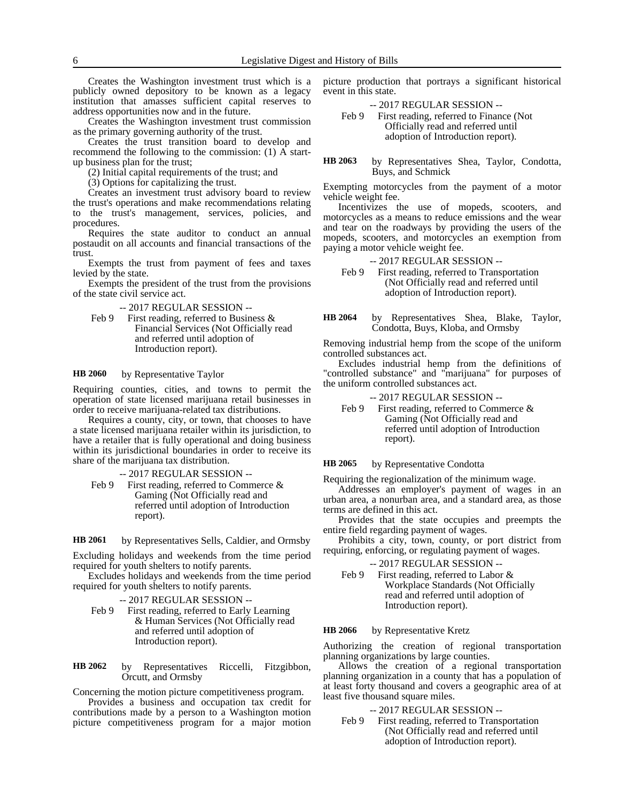Creates the Washington investment trust which is a publicly owned depository to be known as a legacy institution that amasses sufficient capital reserves to address opportunities now and in the future.

Creates the Washington investment trust commission as the primary governing authority of the trust.

Creates the trust transition board to develop and recommend the following to the commission: (1) A startup business plan for the trust;

(2) Initial capital requirements of the trust; and

(3) Options for capitalizing the trust.

Creates an investment trust advisory board to review the trust's operations and make recommendations relating to the trust's management, services, policies, and procedures.

Requires the state auditor to conduct an annual postaudit on all accounts and financial transactions of the trust.

Exempts the trust from payment of fees and taxes levied by the state.

Exempts the president of the trust from the provisions of the state civil service act.

-- 2017 REGULAR SESSION --

Feb 9 First reading, referred to Business & Financial Services (Not Officially read and referred until adoption of Introduction report).

#### by Representative Taylor **HB 2060**

Requiring counties, cities, and towns to permit the operation of state licensed marijuana retail businesses in order to receive marijuana-related tax distributions.

Requires a county, city, or town, that chooses to have a state licensed marijuana retailer within its jurisdiction, to have a retailer that is fully operational and doing business within its jurisdictional boundaries in order to receive its share of the marijuana tax distribution.

-- 2017 REGULAR SESSION --

Feb 9 First reading, referred to Commerce & Gaming (Not Officially read and referred until adoption of Introduction report).

by Representatives Sells, Caldier, and Ormsby **HB 2061**

Excluding holidays and weekends from the time period required for youth shelters to notify parents.

Excludes holidays and weekends from the time period required for youth shelters to notify parents.

- -- 2017 REGULAR SESSION --
- Feb 9 First reading, referred to Early Learning & Human Services (Not Officially read and referred until adoption of Introduction report).

by Representatives Riccelli, Fitzgibbon, Orcutt, and Ormsby **HB 2062**

Concerning the motion picture competitiveness program.

Provides a business and occupation tax credit for contributions made by a person to a Washington motion picture competitiveness program for a major motion picture production that portrays a significant historical event in this state.

-- 2017 REGULAR SESSION --

Feb 9 First reading, referred to Finance (Not Officially read and referred until adoption of Introduction report).

by Representatives Shea, Taylor, Condotta, Buys, and Schmick **HB 2063**

Exempting motorcycles from the payment of a motor vehicle weight fee.

Incentivizes the use of mopeds, scooters, and motorcycles as a means to reduce emissions and the wear and tear on the roadways by providing the users of the mopeds, scooters, and motorcycles an exemption from paying a motor vehicle weight fee.

- -- 2017 REGULAR SESSION --
- Feb 9 First reading, referred to Transportation (Not Officially read and referred until adoption of Introduction report).
- by Representatives Shea, Blake, Taylor, Condotta, Buys, Kloba, and Ormsby **HB 2064**

Removing industrial hemp from the scope of the uniform controlled substances act.

Excludes industrial hemp from the definitions of "controlled substance" and "marijuana" for purposes of the uniform controlled substances act.

- -- 2017 REGULAR SESSION --
- Feb 9 First reading, referred to Commerce & Gaming (Not Officially read and referred until adoption of Introduction report).

by Representative Condotta **HB 2065**

Requiring the regionalization of the minimum wage.

Addresses an employer's payment of wages in an urban area, a nonurban area, and a standard area, as those terms are defined in this act.

Provides that the state occupies and preempts the entire field regarding payment of wages.

Prohibits a city, town, county, or port district from requiring, enforcing, or regulating payment of wages.

-- 2017 REGULAR SESSION --

Feb 9 First reading, referred to Labor & Workplace Standards (Not Officially read and referred until adoption of Introduction report).

#### by Representative Kretz **HB 2066**

Authorizing the creation of regional transportation planning organizations by large counties.

Allows the creation of a regional transportation planning organization in a county that has a population of at least forty thousand and covers a geographic area of at least five thousand square miles.

### -- 2017 REGULAR SESSION --

Feb 9 First reading, referred to Transportation (Not Officially read and referred until adoption of Introduction report).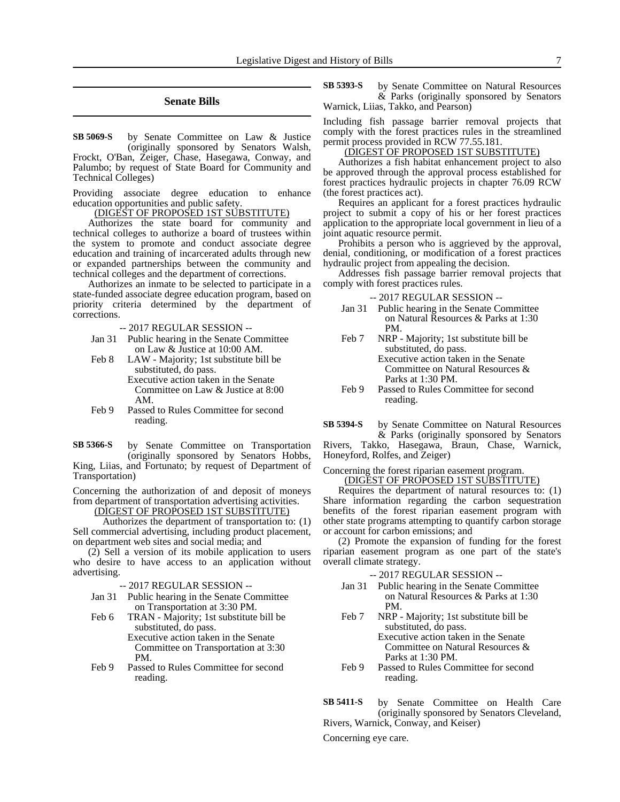### **Senate Bills**

by Senate Committee on Law & Justice (originally sponsored by Senators Walsh, Frockt, O'Ban, Zeiger, Chase, Hasegawa, Conway, and Palumbo; by request of State Board for Community and **SB 5069-S**

Technical Colleges) Providing associate degree education to enhance

education opportunities and public safety.

(DIGEST OF PROPOSED 1ST SUBSTITUTE)

Authorizes the state board for community and technical colleges to authorize a board of trustees within the system to promote and conduct associate degree education and training of incarcerated adults through new or expanded partnerships between the community and technical colleges and the department of corrections.

Authorizes an inmate to be selected to participate in a state-funded associate degree education program, based on priority criteria determined by the department of corrections.

-- 2017 REGULAR SESSION --

- Jan 31 Public hearing in the Senate Committee on Law & Justice at 10:00 AM.
- Feb 8 LAW Majority; 1st substitute bill be substituted, do pass. Executive action taken in the Senate Committee on Law & Justice at 8:00 AM.
- Feb 9 Passed to Rules Committee for second reading.

by Senate Committee on Transportation (originally sponsored by Senators Hobbs, King, Liias, and Fortunato; by request of Department of Transportation) **SB 5366-S**

Concerning the authorization of and deposit of moneys from department of transportation advertising activities.

(DIGEST OF PROPOSED 1ST SUBSTITUTE)

Authorizes the department of transportation to: (1) Sell commercial advertising, including product placement, on department web sites and social media; and

(2) Sell a version of its mobile application to users who desire to have access to an application without advertising.

-- 2017 REGULAR SESSION --

- Jan 31 Public hearing in the Senate Committee on Transportation at 3:30 PM.
- Feb 6 TRAN Majority; 1st substitute bill be substituted, do pass. Executive action taken in the Senate

Committee on Transportation at 3:30 PM.

Feb 9 Passed to Rules Committee for second reading.

by Senate Committee on Natural Resources & Parks (originally sponsored by Senators Warnick, Liias, Takko, and Pearson) **SB 5393-S**

Including fish passage barrier removal projects that comply with the forest practices rules in the streamlined permit process provided in RCW 77.55.181.

(DIGEST OF PROPOSED 1ST SUBSTITUTE)

Authorizes a fish habitat enhancement project to also be approved through the approval process established for forest practices hydraulic projects in chapter 76.09 RCW (the forest practices act).

Requires an applicant for a forest practices hydraulic project to submit a copy of his or her forest practices application to the appropriate local government in lieu of a joint aquatic resource permit.

Prohibits a person who is aggrieved by the approval, denial, conditioning, or modification of a forest practices hydraulic project from appealing the decision.

Addresses fish passage barrier removal projects that comply with forest practices rules.

-- 2017 REGULAR SESSION --

- Jan 31 Public hearing in the Senate Committee on Natural Resources & Parks at 1:30 PM.
- Feb 7 NRP Majority; 1st substitute bill be substituted, do pass. Executive action taken in the Senate Committee on Natural Resources & Parks at 1:30 PM.
- Feb 9 Passed to Rules Committee for second reading.

by Senate Committee on Natural Resources & Parks (originally sponsored by Senators Rivers, Takko, Hasegawa, Braun, Chase, Warnick, **SB 5394-S**

Honeyford, Rolfes, and Zeiger)

Concerning the forest riparian easement program. (DIGEST OF PROPOSED 1ST SUBSTITUTE)

Requires the department of natural resources to: (1) Share information regarding the carbon sequestration benefits of the forest riparian easement program with other state programs attempting to quantify carbon storage or account for carbon emissions; and

(2) Promote the expansion of funding for the forest riparian easement program as one part of the state's overall climate strategy.

-- 2017 REGULAR SESSION --

- Jan 31 Public hearing in the Senate Committee on Natural Resources & Parks at 1:30 PM.
- Feb 7 NRP Majority; 1st substitute bill be substituted, do pass. Executive action taken in the Senate Committee on Natural Resources &

Parks at 1:30 PM.

Feb 9 Passed to Rules Committee for second reading.

by Senate Committee on Health Care (originally sponsored by Senators Cleveland, Rivers, Warnick, Conway, and Keiser) **SB 5411-S**

Concerning eye care.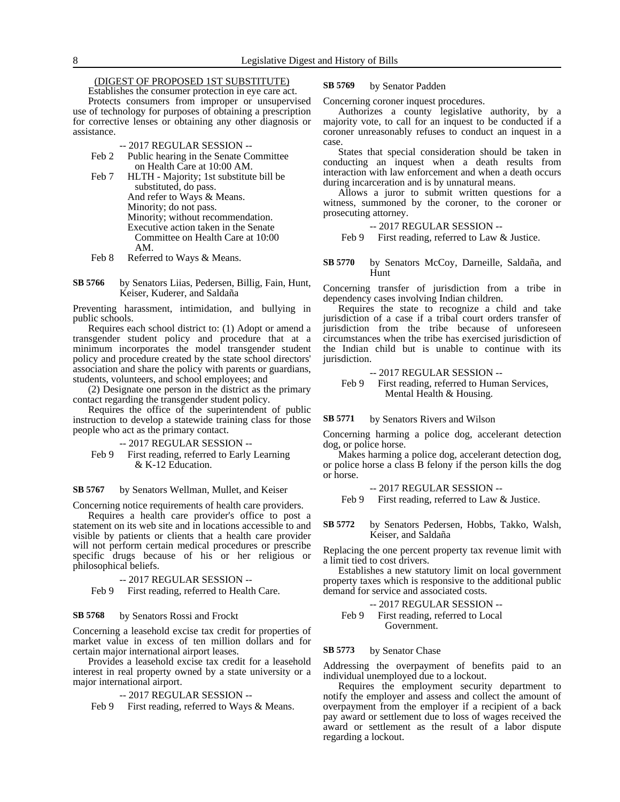### (DIGEST OF PROPOSED 1ST SUBSTITUTE)

Establishes the consumer protection in eye care act. Protects consumers from improper or unsupervised use of technology for purposes of obtaining a prescription for corrective lenses or obtaining any other diagnosis or assistance.

- -- 2017 REGULAR SESSION --
- Feb 2 Public hearing in the Senate Committee on Health Care at 10:00 AM.
- Feb 7 HLTH Majority; 1st substitute bill be substituted, do pass. And refer to Ways & Means. Minority; do not pass. Minority; without recommendation. Executive action taken in the Senate Committee on Health Care at 10:00 AM.
- Feb 8 Referred to Ways & Means.
- by Senators Liias, Pedersen, Billig, Fain, Hunt, Keiser, Kuderer, and Saldaña **SB 5766**

Preventing harassment, intimidation, and bullying in public schools.

Requires each school district to: (1) Adopt or amend a transgender student policy and procedure that at a minimum incorporates the model transgender student policy and procedure created by the state school directors' association and share the policy with parents or guardians, students, volunteers, and school employees; and

(2) Designate one person in the district as the primary contact regarding the transgender student policy.

Requires the office of the superintendent of public instruction to develop a statewide training class for those people who act as the primary contact.

- -- 2017 REGULAR SESSION --
- Feb 9 First reading, referred to Early Learning & K-12 Education.

by Senators Wellman, Mullet, and Keiser **SB 5767**

Concerning notice requirements of health care providers.

Requires a health care provider's office to post a statement on its web site and in locations accessible to and visible by patients or clients that a health care provider will not perform certain medical procedures or prescribe specific drugs because of his or her religious or philosophical beliefs.

-- 2017 REGULAR SESSION --

Feb 9 First reading, referred to Health Care.

#### by Senators Rossi and Frockt **SB 5768**

Concerning a leasehold excise tax credit for properties of market value in excess of ten million dollars and for certain major international airport leases.

Provides a leasehold excise tax credit for a leasehold interest in real property owned by a state university or a major international airport.

-- 2017 REGULAR SESSION --

Feb 9 First reading, referred to Ways & Means.

#### by Senator Padden **SB 5769**

Concerning coroner inquest procedures.

Authorizes a county legislative authority, by a majority vote, to call for an inquest to be conducted if a coroner unreasonably refuses to conduct an inquest in a case.

States that special consideration should be taken in conducting an inquest when a death results from interaction with law enforcement and when a death occurs during incarceration and is by unnatural means.

Allows a juror to submit written questions for a witness, summoned by the coroner, to the coroner or prosecuting attorney.

### -- 2017 REGULAR SESSION --

Feb 9 First reading, referred to Law & Justice.

by Senators McCoy, Darneille, Saldaña, and Hunt **SB 5770**

Concerning transfer of jurisdiction from a tribe in dependency cases involving Indian children.

Requires the state to recognize a child and take jurisdiction of a case if a tribal court orders transfer of jurisdiction from the tribe because of unforeseen circumstances when the tribe has exercised jurisdiction of the Indian child but is unable to continue with its jurisdiction.

-- 2017 REGULAR SESSION --

Feb 9 First reading, referred to Human Services, Mental Health & Housing.

by Senators Rivers and Wilson **SB 5771**

Concerning harming a police dog, accelerant detection dog, or police horse.

Makes harming a police dog, accelerant detection dog, or police horse a class B felony if the person kills the dog or horse.

-- 2017 REGULAR SESSION --

Feb 9 First reading, referred to Law & Justice.

by Senators Pedersen, Hobbs, Takko, Walsh, Keiser, and Saldaña **SB 5772**

Replacing the one percent property tax revenue limit with a limit tied to cost drivers.

Establishes a new statutory limit on local government property taxes which is responsive to the additional public demand for service and associated costs.

-- 2017 REGULAR SESSION --

Feb 9 First reading, referred to Local Government.

#### by Senator Chase **SB 5773**

Addressing the overpayment of benefits paid to an individual unemployed due to a lockout.

Requires the employment security department to notify the employer and assess and collect the amount of overpayment from the employer if a recipient of a back pay award or settlement due to loss of wages received the award or settlement as the result of a labor dispute regarding a lockout.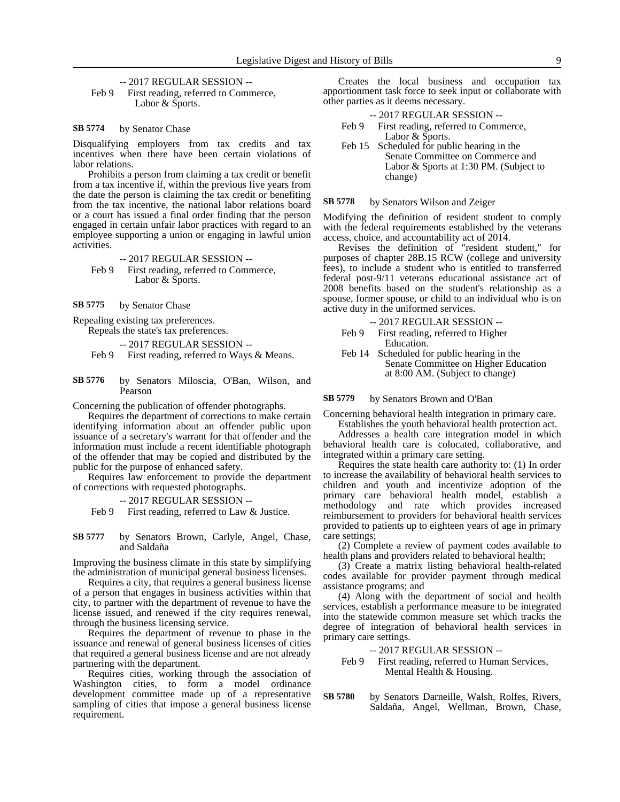-- 2017 REGULAR SESSION --

Feb 9 First reading, referred to Commerce, Labor & Sports.

#### by Senator Chase **SB 5774**

Disqualifying employers from tax credits and tax incentives when there have been certain violations of labor relations.

Prohibits a person from claiming a tax credit or benefit from a tax incentive if, within the previous five years from the date the person is claiming the tax credit or benefiting from the tax incentive, the national labor relations board or a court has issued a final order finding that the person engaged in certain unfair labor practices with regard to an employee supporting a union or engaging in lawful union activities.

-- 2017 REGULAR SESSION -- Feb 9 First reading, referred to Commerce, Labor & Sports.

by Senator Chase **SB 5775**

Repealing existing tax preferences.

Repeals the state's tax preferences.

-- 2017 REGULAR SESSION --

- Feb 9 First reading, referred to Ways & Means.
- by Senators Miloscia, O'Ban, Wilson, and Pearson **SB 5776**

Concerning the publication of offender photographs.

Requires the department of corrections to make certain identifying information about an offender public upon issuance of a secretary's warrant for that offender and the information must include a recent identifiable photograph of the offender that may be copied and distributed by the public for the purpose of enhanced safety.

Requires law enforcement to provide the department of corrections with requested photographs.

-- 2017 REGULAR SESSION --

Feb 9 First reading, referred to Law & Justice.

by Senators Brown, Carlyle, Angel, Chase, and Saldaña **SB 5777**

Improving the business climate in this state by simplifying the administration of municipal general business licenses.

Requires a city, that requires a general business license of a person that engages in business activities within that city, to partner with the department of revenue to have the license issued, and renewed if the city requires renewal, through the business licensing service.

Requires the department of revenue to phase in the issuance and renewal of general business licenses of cities that required a general business license and are not already partnering with the department.

Requires cities, working through the association of Washington cities, to form a model ordinance development committee made up of a representative sampling of cities that impose a general business license requirement.

Creates the local business and occupation tax apportionment task force to seek input or collaborate with other parties as it deems necessary.

|       | $-2017$ REGULAR SESSION $-$          |
|-------|--------------------------------------|
| Feb 9 | First reading, referred to Commerce, |
|       | Labor & Sports.                      |

Feb 15 Scheduled for public hearing in the Senate Committee on Commerce and Labor & Sports at 1:30 PM. (Subject to change)

by Senators Wilson and Zeiger **SB 5778**

Modifying the definition of resident student to comply with the federal requirements established by the veterans access, choice, and accountability act of 2014.

Revises the definition of "resident student," for purposes of chapter 28B.15 RCW (college and university fees), to include a student who is entitled to transferred federal post-9/11 veterans educational assistance act of 2008 benefits based on the student's relationship as a spouse, former spouse, or child to an individual who is on active duty in the uniformed services.

-- 2017 REGULAR SESSION --

- Feb 9 First reading, referred to Higher Education.
- Feb 14 Scheduled for public hearing in the Senate Committee on Higher Education at 8:00 AM. (Subject to change)

by Senators Brown and O'Ban **SB 5779**

Concerning behavioral health integration in primary care. Establishes the youth behavioral health protection act.

Addresses a health care integration model in which behavioral health care is colocated, collaborative, and integrated within a primary care setting.

Requires the state health care authority to: (1) In order to increase the availability of behavioral health services to children and youth and incentivize adoption of the primary care behavioral health model, establish a methodology and rate which provides increased reimbursement to providers for behavioral health services provided to patients up to eighteen years of age in primary care settings;

(2) Complete a review of payment codes available to health plans and providers related to behavioral health;

(3) Create a matrix listing behavioral health-related codes available for provider payment through medical assistance programs; and

(4) Along with the department of social and health services, establish a performance measure to be integrated into the statewide common measure set which tracks the degree of integration of behavioral health services in primary care settings.

-- 2017 REGULAR SESSION --

Feb 9 First reading, referred to Human Services, Mental Health & Housing.

by Senators Darneille, Walsh, Rolfes, Rivers, Saldaña, Angel, Wellman, Brown, Chase, **SB 5780**